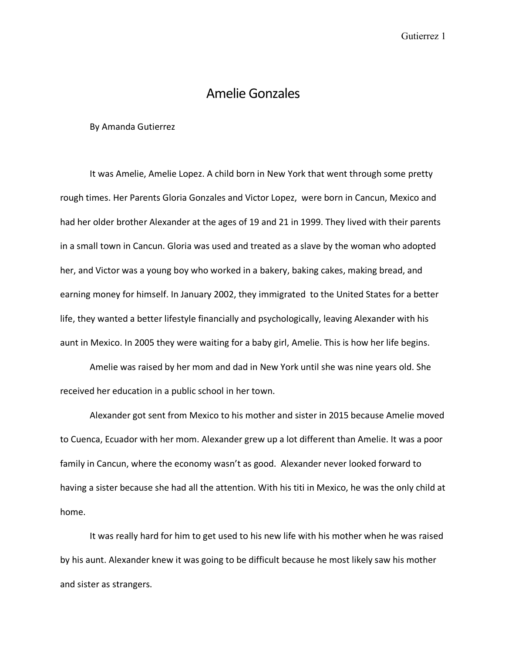## Amelie Gonzales

## By Amanda Gutierrez

It was Amelie, Amelie Lopez. A child born in New York that went through some pretty rough times. Her Parents Gloria Gonzales and Victor Lopez, were born in Cancun, Mexico and had her older brother Alexander at the ages of 19 and 21 in 1999. They lived with their parents in a small town in Cancun. Gloria was used and treated as a slave by the woman who adopted her, and Victor was a young boy who worked in a bakery, baking cakes, making bread, and earning money for himself. In January 2002, they immigrated to the United States for a better life, they wanted a better lifestyle financially and psychologically, leaving Alexander with his aunt in Mexico. In 2005 they were waiting for a baby girl, Amelie. This is how her life begins.

Amelie was raised by her mom and dad in New York until she was nine years old. She received her education in a public school in her town.

Alexander got sent from Mexico to his mother and sister in 2015 because Amelie moved to Cuenca, Ecuador with her mom. Alexander grew up a lot different than Amelie. It was a poor family in Cancun, where the economy wasn't as good. Alexander never looked forward to having a sister because she had all the attention. With his titi in Mexico, he was the only child at home.

It was really hard for him to get used to his new life with his mother when he was raised by his aunt. Alexander knew it was going to be difficult because he most likely saw his mother and sister as strangers.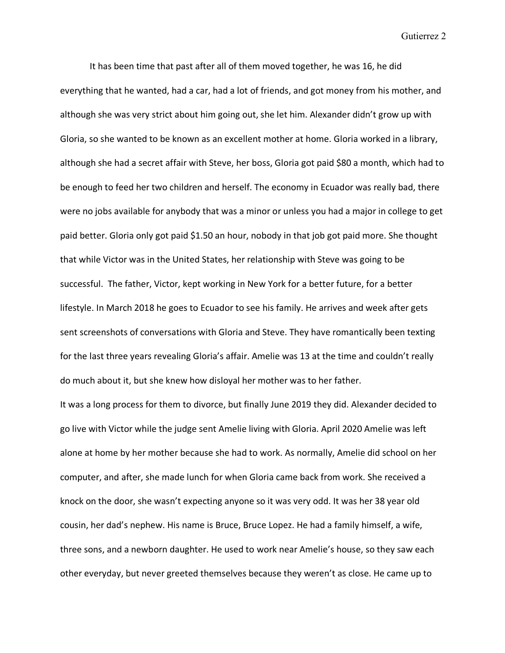It has been time that past after all of them moved together, he was 16, he did everything that he wanted, had a car, had a lot of friends, and got money from his mother, and although she was very strict about him going out, she let him. Alexander didn't grow up with Gloria, so she wanted to be known as an excellent mother at home. Gloria worked in a library, although she had a secret affair with Steve, her boss, Gloria got paid \$80 a month, which had to be enough to feed her two children and herself. The economy in Ecuador was really bad, there were no jobs available for anybody that was a minor or unless you had a major in college to get paid better. Gloria only got paid \$1.50 an hour, nobody in that job got paid more. She thought that while Victor was in the United States, her relationship with Steve was going to be successful. The father, Victor, kept working in New York for a better future, for a better lifestyle. In March 2018 he goes to Ecuador to see his family. He arrives and week after gets sent screenshots of conversations with Gloria and Steve. They have romantically been texting for the last three years revealing Gloria's affair. Amelie was 13 at the time and couldn't really do much about it, but she knew how disloyal her mother was to her father.

It was a long process for them to divorce, but finally June 2019 they did. Alexander decided to go live with Victor while the judge sent Amelie living with Gloria. April 2020 Amelie was left alone at home by her mother because she had to work. As normally, Amelie did school on her computer, and after, she made lunch for when Gloria came back from work. She received a knock on the door, she wasn't expecting anyone so it was very odd. It was her 38 year old cousin, her dad's nephew. His name is Bruce, Bruce Lopez. He had a family himself, a wife, three sons, and a newborn daughter. He used to work near Amelie's house, so they saw each other everyday, but never greeted themselves because they weren't as close. He came up to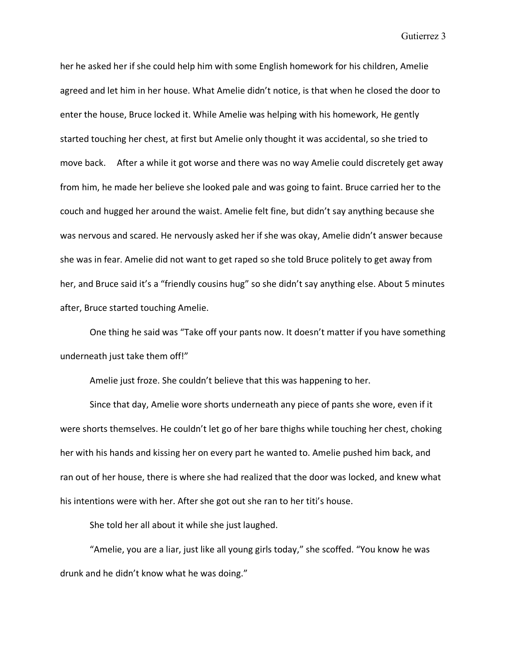her he asked her if she could help him with some English homework for his children, Amelie agreed and let him in her house. What Amelie didn't notice, is that when he closed the door to enter the house, Bruce locked it. While Amelie was helping with his homework, He gently started touching her chest, at first but Amelie only thought it was accidental, so she tried to move back. After a while it got worse and there was no way Amelie could discretely get away from him, he made her believe she looked pale and was going to faint. Bruce carried her to the couch and hugged her around the waist. Amelie felt fine, but didn't say anything because she was nervous and scared. He nervously asked her if she was okay, Amelie didn't answer because she was in fear. Amelie did not want to get raped so she told Bruce politely to get away from her, and Bruce said it's a "friendly cousins hug" so she didn't say anything else. About 5 minutes after, Bruce started touching Amelie.

One thing he said was "Take off your pants now. It doesn't matter if you have something underneath just take them off!"

Amelie just froze. She couldn't believe that this was happening to her.

Since that day, Amelie wore shorts underneath any piece of pants she wore, even if it were shorts themselves. He couldn't let go of her bare thighs while touching her chest, choking her with his hands and kissing her on every part he wanted to. Amelie pushed him back, and ran out of her house, there is where she had realized that the door was locked, and knew what his intentions were with her. After she got out she ran to her titi's house.

She told her all about it while she just laughed.

"Amelie, you are a liar, just like all young girls today," she scoffed. "You know he was drunk and he didn't know what he was doing."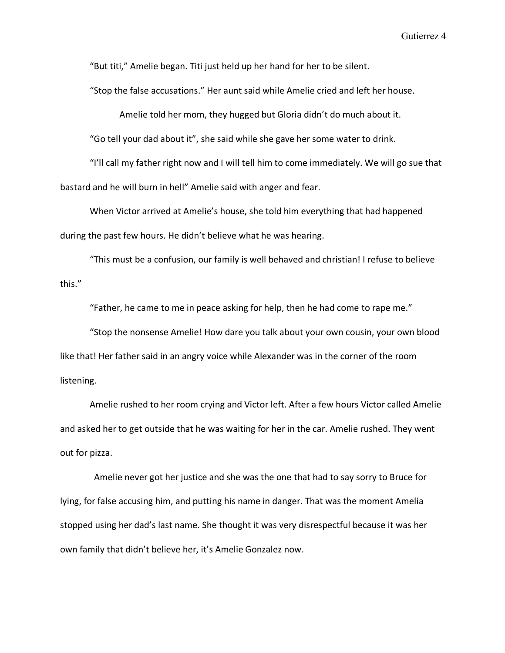"But titi," Amelie began. Titi just held up her hand for her to be silent.

"Stop the false accusations." Her aunt said while Amelie cried and left her house.

Amelie told her mom, they hugged but Gloria didn't do much about it.

"Go tell your dad about it", she said while she gave her some water to drink.

"I'll call my father right now and I will tell him to come immediately. We will go sue that bastard and he will burn in hell" Amelie said with anger and fear.

When Victor arrived at Amelie's house, she told him everything that had happened during the past few hours. He didn't believe what he was hearing.

"This must be a confusion, our family is well behaved and christian! I refuse to believe this."

"Father, he came to me in peace asking for help, then he had come to rape me."

"Stop the nonsense Amelie! How dare you talk about your own cousin, your own blood like that! Her father said in an angry voice while Alexander was in the corner of the room listening.

Amelie rushed to her room crying and Victor left. After a few hours Victor called Amelie and asked her to get outside that he was waiting for her in the car. Amelie rushed. They went out for pizza.

 Amelie never got her justice and she was the one that had to say sorry to Bruce for lying, for false accusing him, and putting his name in danger. That was the moment Amelia stopped using her dad's last name. She thought it was very disrespectful because it was her own family that didn't believe her, it's Amelie Gonzalez now.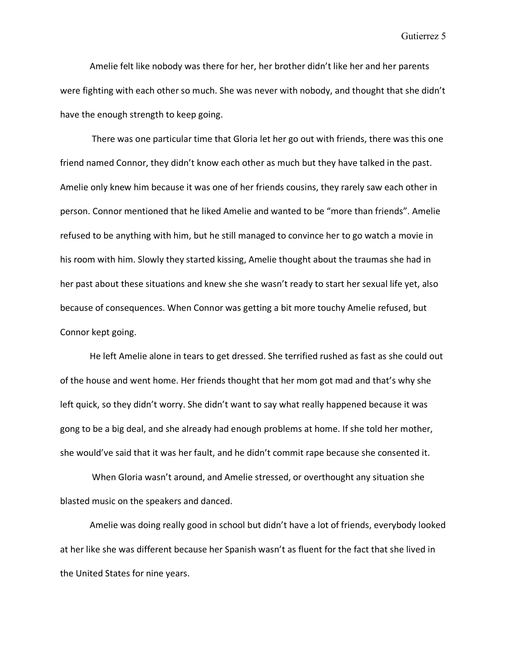Amelie felt like nobody was there for her, her brother didn't like her and her parents were fighting with each other so much. She was never with nobody, and thought that she didn't have the enough strength to keep going.

There was one particular time that Gloria let her go out with friends, there was this one friend named Connor, they didn't know each other as much but they have talked in the past. Amelie only knew him because it was one of her friends cousins, they rarely saw each other in person. Connor mentioned that he liked Amelie and wanted to be "more than friends". Amelie refused to be anything with him, but he still managed to convince her to go watch a movie in his room with him. Slowly they started kissing, Amelie thought about the traumas she had in her past about these situations and knew she she wasn't ready to start her sexual life yet, also because of consequences. When Connor was getting a bit more touchy Amelie refused, but Connor kept going.

He left Amelie alone in tears to get dressed. She terrified rushed as fast as she could out of the house and went home. Her friends thought that her mom got mad and that's why she left quick, so they didn't worry. She didn't want to say what really happened because it was gong to be a big deal, and she already had enough problems at home. If she told her mother, she would've said that it was her fault, and he didn't commit rape because she consented it.

When Gloria wasn't around, and Amelie stressed, or overthought any situation she blasted music on the speakers and danced.

Amelie was doing really good in school but didn't have a lot of friends, everybody looked at her like she was different because her Spanish wasn't as fluent for the fact that she lived in the United States for nine years.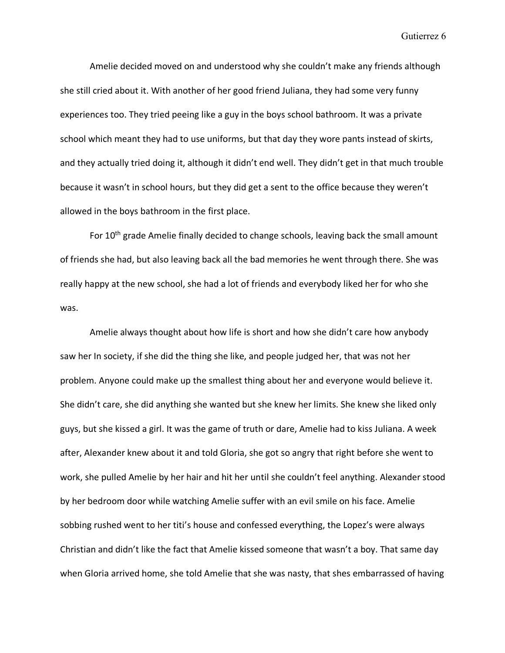Amelie decided moved on and understood why she couldn't make any friends although she still cried about it. With another of her good friend Juliana, they had some very funny experiences too. They tried peeing like a guy in the boys school bathroom. It was a private school which meant they had to use uniforms, but that day they wore pants instead of skirts, and they actually tried doing it, although it didn't end well. They didn't get in that much trouble because it wasn't in school hours, but they did get a sent to the office because they weren't allowed in the boys bathroom in the first place.

For 10<sup>th</sup> grade Amelie finally decided to change schools, leaving back the small amount of friends she had, but also leaving back all the bad memories he went through there. She was really happy at the new school, she had a lot of friends and everybody liked her for who she was.

Amelie always thought about how life is short and how she didn't care how anybody saw her In society, if she did the thing she like, and people judged her, that was not her problem. Anyone could make up the smallest thing about her and everyone would believe it. She didn't care, she did anything she wanted but she knew her limits. She knew she liked only guys, but she kissed a girl. It was the game of truth or dare, Amelie had to kiss Juliana. A week after, Alexander knew about it and told Gloria, she got so angry that right before she went to work, she pulled Amelie by her hair and hit her until she couldn't feel anything. Alexander stood by her bedroom door while watching Amelie suffer with an evil smile on his face. Amelie sobbing rushed went to her titi's house and confessed everything, the Lopez's were always Christian and didn't like the fact that Amelie kissed someone that wasn't a boy. That same day when Gloria arrived home, she told Amelie that she was nasty, that shes embarrassed of having